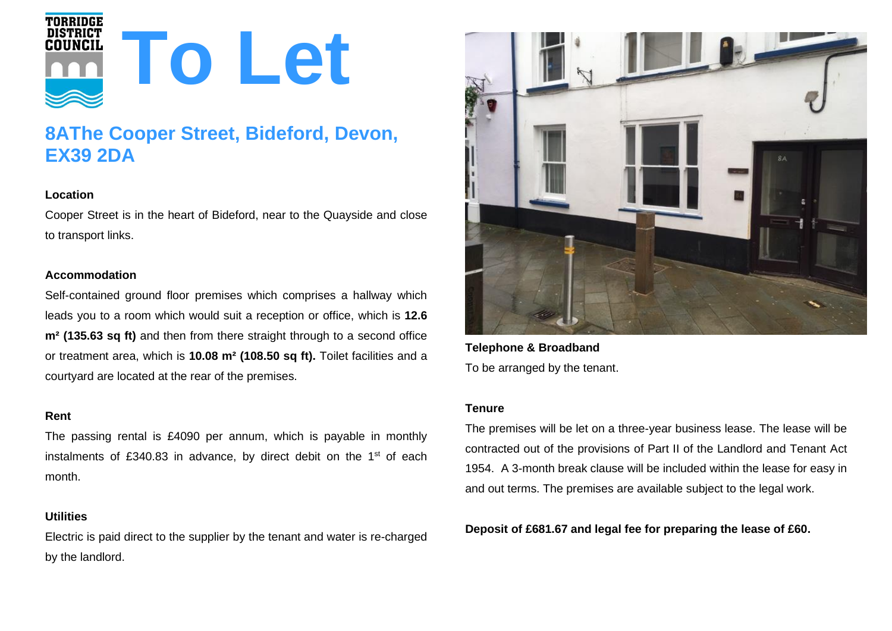

# **8AThe Cooper Street, Bideford, Devon, EX39 2DA**

## **Location**

Cooper Street is in the heart of Bideford, near to the Quayside and close to transport links.

## **Accommodation**

Self-contained ground floor premises which comprises a hallway which leads you to a room which would suit a reception or office, which is **12.6 m² (135.63 sq ft)** and then from there straight through to a second office or treatment area, which is **10.08 m² (108.50 sq ft).** Toilet facilities and a courtyard are located at the rear of the premises.

#### **Rent**

The passing rental is £4090 per annum, which is payable in monthly instalments of £340.83 in advance, by direct debit on the  $1<sup>st</sup>$  of each month.

### **Utilities**

Electric is paid direct to the supplier by the tenant and water is re-charged by the landlord.



**Telephone & Broadband** To be arranged by the tenant.

#### **Tenure**

The premises will be let on a three-year business lease. The lease will be contracted out of the provisions of Part II of the Landlord and Tenant Act 1954. A 3-month break clause will be included within the lease for easy in and out terms. The premises are available subject to the legal work.

**Deposit of £681.67 and legal fee for preparing the lease of £60.**